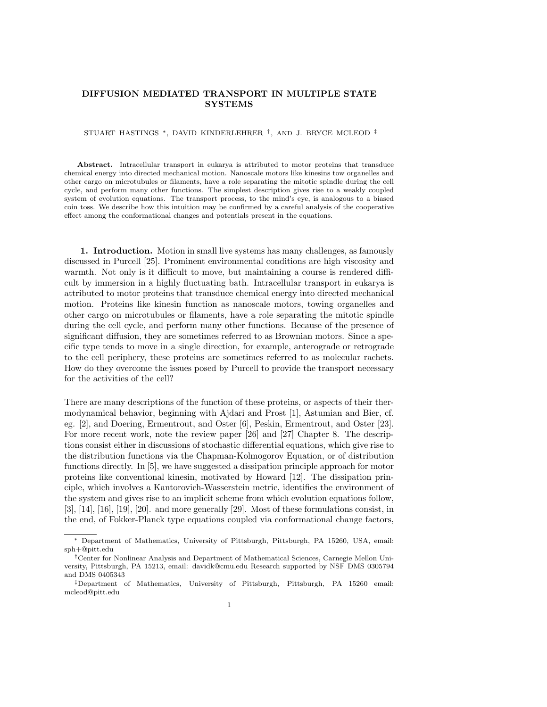## DIFFUSION MEDIATED TRANSPORT IN MULTIPLE STATE **SYSTEMS**

STUART HASTINGS <sup>∗</sup>, DAVID KINDERLEHRER † , AND J. BRYCE MCLEOD ‡

Abstract. Intracellular transport in eukarya is attributed to motor proteins that transduce chemical energy into directed mechanical motion. Nanoscale motors like kinesins tow organelles and other cargo on microtubules or filaments, have a role separating the mitotic spindle during the cell cycle, and perform many other functions. The simplest description gives rise to a weakly coupled system of evolution equations. The transport process, to the mind's eye, is analogous to a biased coin toss. We describe how this intuition may be confirmed by a careful analysis of the cooperative effect among the conformational changes and potentials present in the equations.

1. Introduction. Motion in small live systems has many challenges, as famously discussed in Purcell [25]. Prominent environmental conditions are high viscosity and warmth. Not only is it difficult to move, but maintaining a course is rendered difficult by immersion in a highly fluctuating bath. Intracellular transport in eukarya is attributed to motor proteins that transduce chemical energy into directed mechanical motion. Proteins like kinesin function as nanoscale motors, towing organelles and other cargo on microtubules or filaments, have a role separating the mitotic spindle during the cell cycle, and perform many other functions. Because of the presence of significant diffusion, they are sometimes referred to as Brownian motors. Since a specific type tends to move in a single direction, for example, anterograde or retrograde to the cell periphery, these proteins are sometimes referred to as molecular rachets. How do they overcome the issues posed by Purcell to provide the transport necessary for the activities of the cell?

There are many descriptions of the function of these proteins, or aspects of their thermodynamical behavior, beginning with Ajdari and Prost [1], Astumian and Bier, cf. eg. [2], and Doering, Ermentrout, and Oster [6], Peskin, Ermentrout, and Oster [23]. For more recent work, note the review paper [26] and [27] Chapter 8. The descriptions consist either in discussions of stochastic differential equations, which give rise to the distribution functions via the Chapman-Kolmogorov Equation, or of distribution functions directly. In [5], we have suggested a dissipation principle approach for motor proteins like conventional kinesin, motivated by Howard [12]. The dissipation principle, which involves a Kantorovich-Wasserstein metric, identifies the environment of the system and gives rise to an implicit scheme from which evolution equations follow,  $[3], [14], [16], [19], [20].$  and more generally  $[29]$ . Most of these formulations consist, in the end, of Fokker-Planck type equations coupled via conformational change factors,

<sup>∗</sup> Department of Mathematics, University of Pittsburgh, Pittsburgh, PA 15260, USA, email: sph+@pitt.edu

<sup>†</sup>Center for Nonlinear Analysis and Department of Mathematical Sciences, Carnegie Mellon University, Pittsburgh, PA 15213, email: davidk@cmu.edu Research supported by NSF DMS 0305794 and DMS 0405343

<sup>‡</sup>Department of Mathematics, University of Pittsburgh, Pittsburgh, PA 15260 email: mcleod@pitt.edu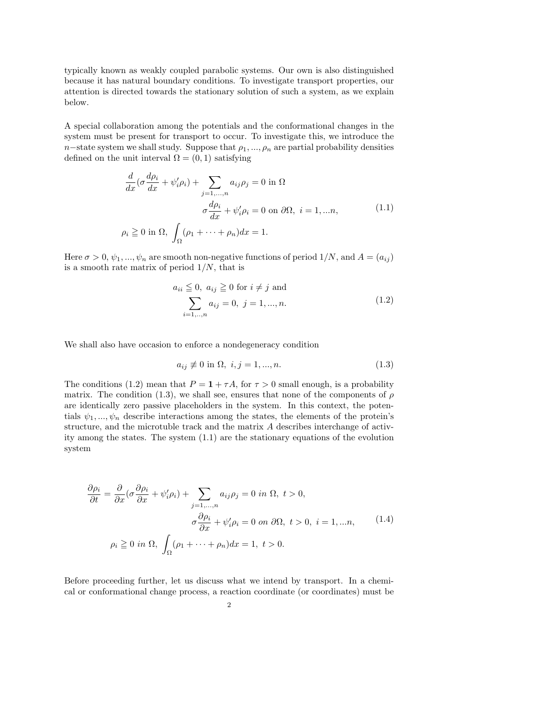typically known as weakly coupled parabolic systems. Our own is also distinguished because it has natural boundary conditions. To investigate transport properties, our attention is directed towards the stationary solution of such a system, as we explain below.

A special collaboration among the potentials and the conformational changes in the system must be present for transport to occur. To investigate this, we introduce the n−state system we shall study. Suppose that  $\rho_1, ..., \rho_n$  are partial probability densities defined on the unit interval  $\Omega = (0,1)$  satisfying

$$
\frac{d}{dx}(\sigma \frac{d\rho_i}{dx} + \psi_i'\rho_i) + \sum_{j=1,...,n} a_{ij}\rho_j = 0 \text{ in } \Omega
$$

$$
\sigma \frac{d\rho_i}{dx} + \psi_i'\rho_i = 0 \text{ on } \partial\Omega, \ i = 1,...n,
$$

$$
\rho_i \ge 0 \text{ in } \Omega, \int_{\Omega} (\rho_1 + \dots + \rho_n) dx = 1.
$$
 (1.1)

Here  $\sigma > 0$ ,  $\psi_1, ..., \psi_n$  are smooth non-negative functions of period  $1/N$ , and  $A = (a_{ij})$ is a smooth rate matrix of period  $1/N$ , that is

$$
a_{ii} \leqq 0, \ a_{ij} \geqq 0 \text{ for } i \neq j \text{ and}
$$

$$
\sum_{i=1,...,n} a_{ij} = 0, \ j = 1,...,n.
$$
 (1.2)

We shall also have occasion to enforce a nondegeneracy condition

$$
a_{ij} \not\equiv 0 \text{ in } \Omega, \ i, j = 1, \dots, n. \tag{1.3}
$$

The conditions (1.2) mean that  $P = 1 + \tau A$ , for  $\tau > 0$  small enough, is a probability matrix. The condition (1.3), we shall see, ensures that none of the components of  $\rho$ are identically zero passive placeholders in the system. In this context, the potentials  $\psi_1, ..., \psi_n$  describe interactions among the states, the elements of the protein's structure, and the microtuble track and the matrix A describes interchange of activity among the states. The system (1.1) are the stationary equations of the evolution system

$$
\frac{\partial \rho_i}{\partial t} = \frac{\partial}{\partial x} (\sigma \frac{\partial \rho_i}{\partial x} + \psi_i' \rho_i) + \sum_{j=1,...,n} a_{ij} \rho_j = 0 \text{ in } \Omega, t > 0,
$$
  

$$
\sigma \frac{\partial \rho_i}{\partial x} + \psi_i' \rho_i = 0 \text{ on } \partial \Omega, t > 0, i = 1,...n,
$$
  

$$
\rho_i \ge 0 \text{ in } \Omega, \int_{\Omega} (\rho_1 + \dots + \rho_n) dx = 1, t > 0.
$$
 (1.4)

Before proceeding further, let us discuss what we intend by transport. In a chemical or conformational change process, a reaction coordinate (or coordinates) must be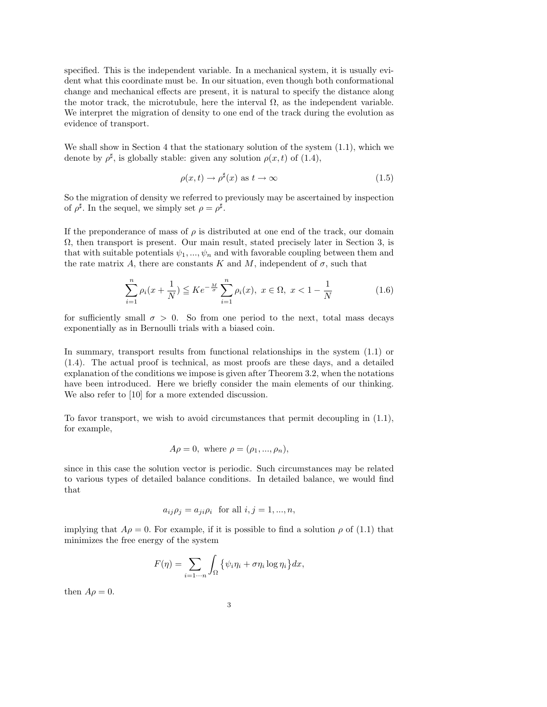specified. This is the independent variable. In a mechanical system, it is usually evident what this coordinate must be. In our situation, even though both conformational change and mechanical effects are present, it is natural to specify the distance along the motor track, the microtubule, here the interval  $\Omega$ , as the independent variable. We interpret the migration of density to one end of the track during the evolution as evidence of transport.

We shall show in Section 4 that the stationary solution of the system  $(1.1)$ , which we denote by  $\rho^{\sharp}$ , is globally stable: given any solution  $\rho(x, t)$  of (1.4),

$$
\rho(x,t) \to \rho^{\sharp}(x) \text{ as } t \to \infty \tag{1.5}
$$

So the migration of density we referred to previously may be ascertained by inspection of  $\rho^{\sharp}$ . In the sequel, we simply set  $\rho = \rho^{\sharp}$ .

If the preponderance of mass of  $\rho$  is distributed at one end of the track, our domain  $\Omega$ , then transport is present. Our main result, stated precisely later in Section 3, is that with suitable potentials  $\psi_1, ..., \psi_n$  and with favorable coupling between them and the rate matrix A, there are constants K and M, independent of  $\sigma$ , such that

$$
\sum_{i=1}^{n} \rho_i(x + \frac{1}{N}) \leq Ke^{-\frac{M}{\sigma}} \sum_{i=1}^{n} \rho_i(x), \ x \in \Omega, \ x < 1 - \frac{1}{N} \tag{1.6}
$$

for sufficiently small  $\sigma > 0$ . So from one period to the next, total mass decays exponentially as in Bernoulli trials with a biased coin.

In summary, transport results from functional relationships in the system (1.1) or (1.4). The actual proof is technical, as most proofs are these days, and a detailed explanation of the conditions we impose is given after Theorem 3.2, when the notations have been introduced. Here we briefly consider the main elements of our thinking. We also refer to [10] for a more extended discussion.

To favor transport, we wish to avoid circumstances that permit decoupling in (1.1), for example,

$$
A\rho = 0
$$
, where  $\rho = (\rho_1, ..., \rho_n)$ ,

since in this case the solution vector is periodic. Such circumstances may be related to various types of detailed balance conditions. In detailed balance, we would find that

$$
a_{ij}\rho_j = a_{ji}\rho_i \text{ for all } i, j = 1, ..., n,
$$

implying that  $A\rho = 0$ . For example, if it is possible to find a solution  $\rho$  of (1.1) that minimizes the free energy of the system

$$
F(\eta) = \sum_{i=1\cdots n} \int_{\Omega} \{ \psi_i \eta_i + \sigma \eta_i \log \eta_i \} dx,
$$

then  $A\rho = 0$ .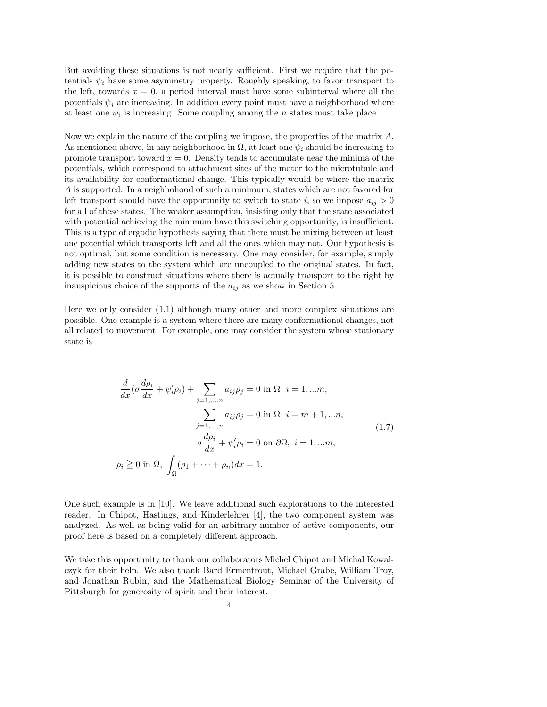But avoiding these situations is not nearly sufficient. First we require that the potentials  $\psi_i$  have some asymmetry property. Roughly speaking, to favor transport to the left, towards  $x = 0$ , a period interval must have some subinterval where all the potentials  $\psi_j$  are increasing. In addition every point must have a neighborhood where at least one  $\psi_i$  is increasing. Some coupling among the n states must take place.

Now we explain the nature of the coupling we impose, the properties of the matrix A. As mentioned above, in any neighborhood in  $\Omega$ , at least one  $\psi_i$  should be increasing to promote transport toward  $x = 0$ . Density tends to accumulate near the minima of the potentials, which correspond to attachment sites of the motor to the microtubule and its availability for conformational change. This typically would be where the matrix A is supported. In a neighbohood of such a minimum, states which are not favored for left transport should have the opportunity to switch to state i, so we impose  $a_{ij} > 0$ for all of these states. The weaker assumption, insisting only that the state associated with potential achieving the minimum have this switching opportunity, is insufficient. This is a type of ergodic hypothesis saying that there must be mixing between at least one potential which transports left and all the ones which may not. Our hypothesis is not optimal, but some condition is necessary. One may consider, for example, simply adding new states to the system which are uncoupled to the original states. In fact, it is possible to construct situations where there is actually transport to the right by inauspicious choice of the supports of the  $a_{ij}$  as we show in Section 5.

Here we only consider (1.1) although many other and more complex situations are possible. One example is a system where there are many conformational changes, not all related to movement. For example, one may consider the system whose stationary state is

$$
\frac{d}{dx}(\sigma \frac{d\rho_i}{dx} + \psi_i'\rho_i) + \sum_{j=1,...,n} a_{ij}\rho_j = 0 \text{ in } \Omega \quad i = 1,...m,
$$

$$
\sum_{j=1,...,n} a_{ij}\rho_j = 0 \text{ in } \Omega \quad i = m+1,...n,
$$

$$
\sigma \frac{d\rho_i}{dx} + \psi_i'\rho_i = 0 \text{ on } \partial\Omega, \quad i = 1,...m,
$$

$$
\rho_i \ge 0 \text{ in } \Omega, \int_{\Omega} (\rho_1 + \dots + \rho_n) dx = 1.
$$
 (1.7)

One such example is in [10]. We leave additional such explorations to the interested reader. In Chipot, Hastings, and Kinderlehrer [4], the two component system was analyzed. As well as being valid for an arbitrary number of active components, our proof here is based on a completely different approach.

We take this opportunity to thank our collaborators Michel Chipot and Michal Kowalczyk for their help. We also thank Bard Ermentrout, Michael Grabe, William Troy, and Jonathan Rubin, and the Mathematical Biology Seminar of the University of Pittsburgh for generosity of spirit and their interest.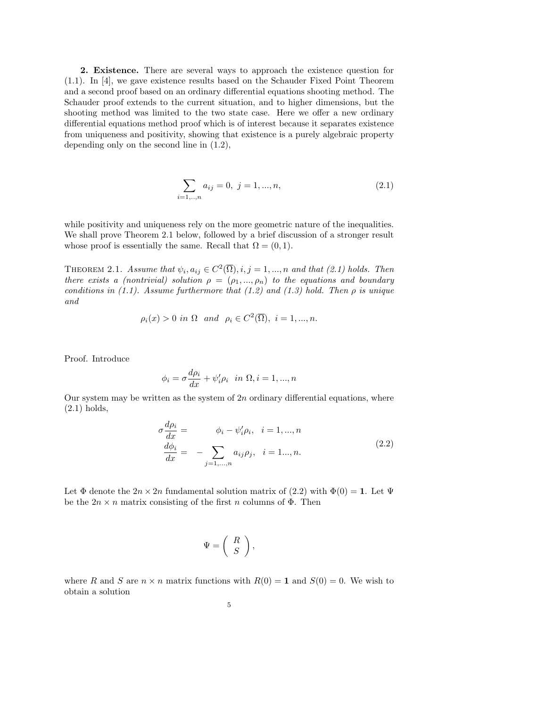2. Existence. There are several ways to approach the existence question for (1.1). In [4], we gave existence results based on the Schauder Fixed Point Theorem and a second proof based on an ordinary differential equations shooting method. The Schauder proof extends to the current situation, and to higher dimensions, but the shooting method was limited to the two state case. Here we offer a new ordinary differential equations method proof which is of interest because it separates existence from uniqueness and positivity, showing that existence is a purely algebraic property depending only on the second line in (1.2),

$$
\sum_{i=1,...,n} a_{ij} = 0, \ j = 1,...,n,
$$
\n(2.1)

while positivity and uniqueness rely on the more geometric nature of the inequalities. We shall prove Theorem 2.1 below, followed by a brief discussion of a stronger result whose proof is essentially the same. Recall that  $\Omega = (0, 1)$ .

THEOREM 2.1. Assume that  $\psi_i, a_{ij} \in C^2(\overline{\Omega}), i, j = 1, ..., n$  and that (2.1) holds. Then there exists a (nontrivial) solution  $\rho = (\rho_1, ..., \rho_n)$  to the equations and boundary conditions in (1.1). Assume furthermore that (1.2) and (1.3) hold. Then  $\rho$  is unique and

$$
\rho_i(x) > 0
$$
 in  $\Omega$  and  $\rho_i \in C^2(\overline{\Omega}), i = 1, ..., n$ .

Proof. Introduce

$$
\phi_i = \sigma \frac{d\rho_i}{dx} + \psi_i' \rho_i \quad in \ \Omega, i = 1, ..., n
$$

Our system may be written as the system of  $2n$  ordinary differential equations, where (2.1) holds,

$$
\sigma \frac{d\rho_i}{dx} = \phi_i - \psi'_i \rho_i, \quad i = 1, ..., n
$$
  
\n
$$
\frac{d\phi_i}{dx} = - \sum_{j=1,...,n} a_{ij} \rho_j, \quad i = 1..., n.
$$
\n(2.2)

Let  $\Phi$  denote the  $2n \times 2n$  fundamental solution matrix of (2.2) with  $\Phi(0) = 1$ . Let  $\Psi$ be the  $2n \times n$  matrix consisting of the first n columns of  $\Phi$ . Then

$$
\Psi = \left(\begin{array}{c} R \\ S \end{array}\right),
$$

where R and S are  $n \times n$  matrix functions with  $R(0) = 1$  and  $S(0) = 0$ . We wish to obtain a solution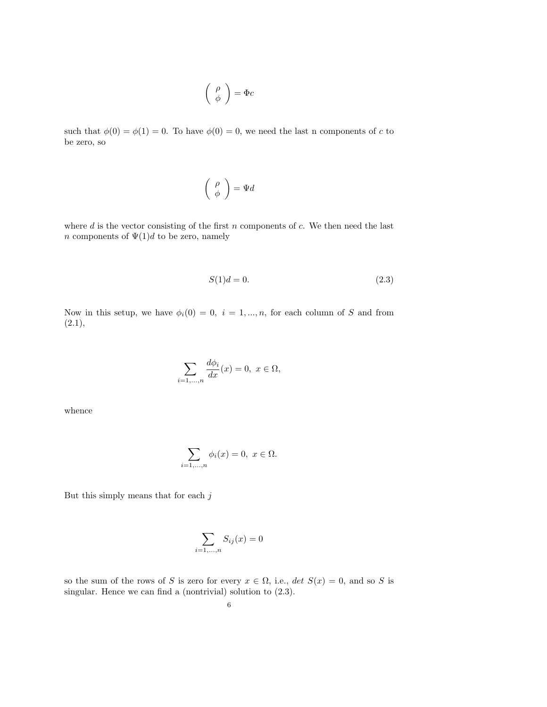$$
\left(\begin{array}{c}\rho\\ \phi\end{array}\right)=\Phi c
$$

such that  $\phi(0) = \phi(1) = 0$ . To have  $\phi(0) = 0$ , we need the last n components of c to be zero, so

$$
\left(\begin{array}{c}\rho\\ \phi\end{array}\right)=\Psi d
$$

where  $d$  is the vector consisting of the first  $n$  components of  $c$ . We then need the last *n* components of  $\Psi(1)d$  to be zero, namely

$$
S(1)d = 0.\t\t(2.3)
$$

Now in this setup, we have  $\phi_i(0) = 0, i = 1, ..., n$ , for each column of S and from  $(2.1),$ 

$$
\sum_{i=1,...,n}\frac{d\phi_i}{dx}(x)=0,\ x\in\Omega,
$$

whence

$$
\sum_{i=1,\dots,n} \phi_i(x) = 0, \ x \in \Omega.
$$

But this simply means that for each  $j$ 

$$
\sum_{i=1,\ldots,n} S_{ij}(x) = 0
$$

so the sum of the rows of S is zero for every  $x \in \Omega$ , i.e.,  $\det S(x) = 0$ , and so S is singular. Hence we can find a (nontrivial) solution to  $(2.3)$ .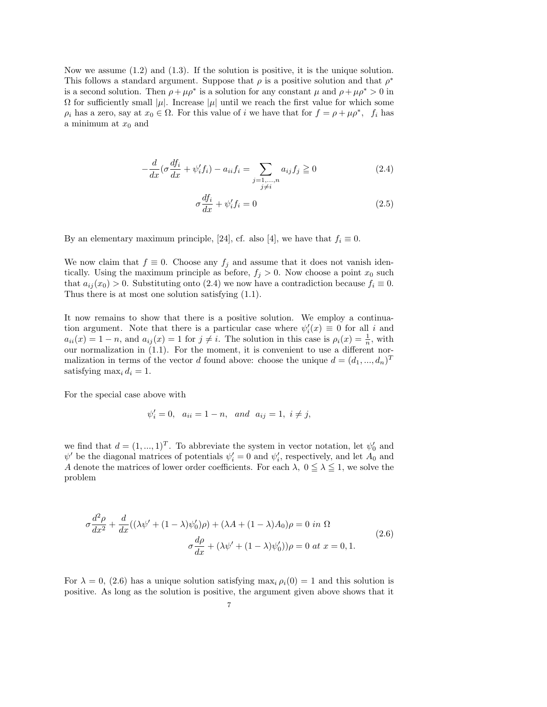Now we assume (1.2) and (1.3). If the solution is positive, it is the unique solution. This follows a standard argument. Suppose that  $\rho$  is a positive solution and that  $\rho^*$ is a second solution. Then  $\rho + \mu \rho^*$  is a solution for any constant  $\mu$  and  $\rho + \mu \rho^* > 0$  in  $Ω$  for sufficiently small | $μ$ |. Increase | $μ$ | until we reach the first value for which some  $\rho_i$  has a zero, say at  $x_0 \in \Omega$ . For this value of i we have that for  $f = \rho + \mu \rho^*$ ,  $f_i$  has a minimum at  $x_0$  and

$$
-\frac{d}{dx}\left(\sigma\frac{df_i}{dx} + \psi_i'f_i\right) - a_{ii}f_i = \sum_{\substack{j=1,\dots,n\\j\neq i}} a_{ij}f_j \ge 0
$$
\n(2.4)

$$
\sigma \frac{df_i}{dx} + \psi'_i f_i = 0 \tag{2.5}
$$

By an elementary maximum principle, [24], cf. also [4], we have that  $f_i \equiv 0$ .

We now claim that  $f \equiv 0$ . Choose any  $f_j$  and assume that it does not vanish identically. Using the maximum principle as before,  $f_j > 0$ . Now choose a point  $x_0$  such that  $a_{ij}(x_0) > 0$ . Substituting onto (2.4) we now have a contradiction because  $f_i \equiv 0$ . Thus there is at most one solution satisfying (1.1).

It now remains to show that there is a positive solution. We employ a continuation argument. Note that there is a particular case where  $\psi_i'(x) \equiv 0$  for all i and  $a_{ii}(x) = 1 - n$ , and  $a_{ij}(x) = 1$  for  $j \neq i$ . The solution in this case is  $\rho_i(x) = \frac{1}{n}$ , with our normalization in (1.1). For the moment, it is convenient to use a different normalization in terms of the vector d found above: choose the unique  $d = (d_1, ..., d_n)^T$ satisfying max<sub>i</sub>  $d_i = 1$ .

For the special case above with

$$
\psi'_i = 0
$$
,  $a_{ii} = 1 - n$ , and  $a_{ij} = 1$ ,  $i \neq j$ ,

we find that  $d = (1, ..., 1)^T$ . To abbreviate the system in vector notation, let  $\psi'_0$  and  $\psi'$  be the diagonal matrices of potentials  $\psi'_i = 0$  and  $\psi'_i$ , respectively, and let  $A_0$  and A denote the matrices of lower order coefficients. For each  $\lambda$ ,  $0 \leq \lambda \leq 1$ , we solve the problem

$$
\sigma \frac{d^2 \rho}{dx^2} + \frac{d}{dx}((\lambda \psi' + (1 - \lambda)\psi'_0)\rho) + (\lambda A + (1 - \lambda)A_0)\rho = 0 \text{ in } \Omega
$$
  

$$
\sigma \frac{d\rho}{dx} + (\lambda \psi' + (1 - \lambda)\psi'_0))\rho = 0 \text{ at } x = 0, 1.
$$
 (2.6)

For  $\lambda = 0$ , (2.6) has a unique solution satisfying max<sub>i</sub>  $\rho_i(0) = 1$  and this solution is positive. As long as the solution is positive, the argument given above shows that it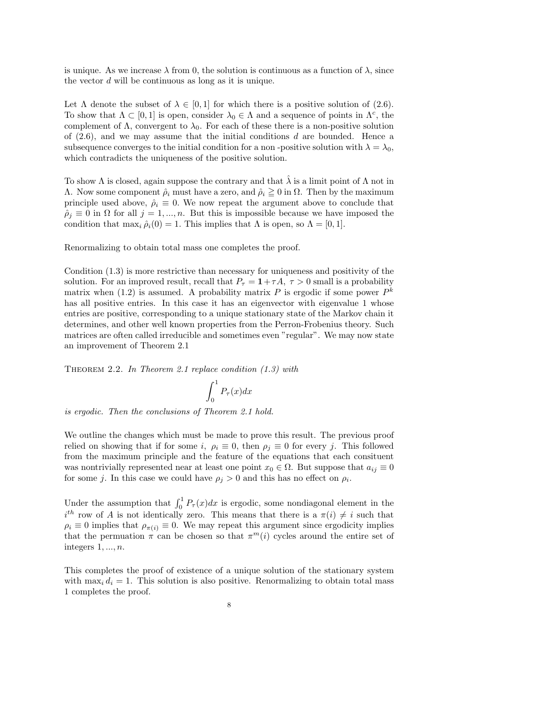is unique. As we increase  $\lambda$  from 0, the solution is continuous as a function of  $\lambda$ , since the vector d will be continuous as long as it is unique.

Let  $\Lambda$  denote the subset of  $\lambda \in [0, 1]$  for which there is a positive solution of (2.6). To show that  $\Lambda \subset [0,1]$  is open, consider  $\lambda_0 \in \Lambda$  and a sequence of points in  $\Lambda^c$ , the complement of  $\Lambda$ , convergent to  $\lambda_0$ . For each of these there is a non-positive solution of  $(2.6)$ , and we may assume that the initial conditions d are bounded. Hence a subsequence converges to the initial condition for a non-positive solution with  $\lambda = \lambda_0$ , which contradicts the uniqueness of the positive solution.

To show  $\Lambda$  is closed, again suppose the contrary and that  $\lambda$  is a limit point of  $\Lambda$  not in  $Λ.$  Now some component  $\hat{\rho}_i$  must have a zero, and  $\hat{\rho}_i \geq 0$  in  $Ω$ . Then by the maximum principle used above,  $\hat{\rho}_i \equiv 0$ . We now repeat the argument above to conclude that  $\hat{\rho}_j \equiv 0$  in  $\Omega$  for all  $j = 1, ..., n$ . But this is impossible because we have imposed the condition that  $\max_i \hat{\rho}_i(0) = 1$ . This implies that  $\Lambda$  is open, so  $\Lambda = [0, 1]$ .

Renormalizing to obtain total mass one completes the proof.

Condition (1.3) is more restrictive than necessary for uniqueness and positivity of the solution. For an improved result, recall that  $P_\tau = 1+\tau A$ ,  $\tau > 0$  small is a probability matrix when (1.2) is assumed. A probability matrix P is ergodic if some power  $P^k$ has all positive entries. In this case it has an eigenvector with eigenvalue 1 whose entries are positive, corresponding to a unique stationary state of the Markov chain it determines, and other well known properties from the Perron-Frobenius theory. Such matrices are often called irreducible and sometimes even "regular". We may now state an improvement of Theorem 2.1

Theorem 2.2. In Theorem 2.1 replace condition (1.3) with

$$
\int_0^1 P_\tau(x) dx
$$

is ergodic. Then the conclusions of Theorem 2.1 hold.

We outline the changes which must be made to prove this result. The previous proof relied on showing that if for some i,  $\rho_i \equiv 0$ , then  $\rho_i \equiv 0$  for every j. This followed from the maximum principle and the feature of the equations that each consituent was nontrivially represented near at least one point  $x_0 \in \Omega$ . But suppose that  $a_{ij} \equiv 0$ for some j. In this case we could have  $\rho_j > 0$  and this has no effect on  $\rho_i$ .

Under the assumption that  $\int_0^1 P_\tau(x)dx$  is ergodic, some nondiagonal element in the  $i<sup>th</sup>$  row of A is not identically zero. This means that there is a  $\pi(i) \neq i$  such that  $\rho_i \equiv 0$  implies that  $\rho_{\pi(i)} \equiv 0$ . We may repeat this argument since ergodicity implies that the permuation  $\pi$  can be chosen so that  $\pi^{m}(i)$  cycles around the entire set of integers  $1, \ldots, n$ .

This completes the proof of existence of a unique solution of the stationary system with  $\max_i d_i = 1$ . This solution is also positive. Renormalizing to obtain total mass 1 completes the proof.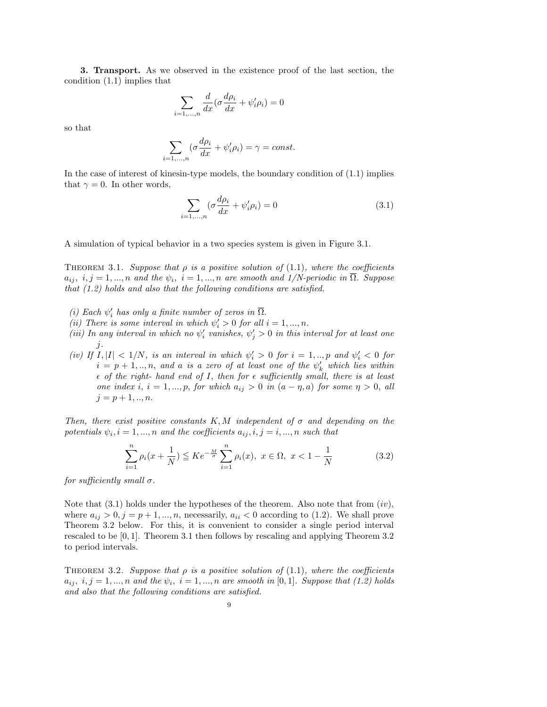3. Transport. As we observed in the existence proof of the last section, the condition (1.1) implies that

$$
\sum_{i=1,\ldots,n} \frac{d}{dx} (\sigma \frac{d\rho_i}{dx} + \psi_i' \rho_i) = 0
$$

so that

$$
\sum_{i=1,\dots,n} (\sigma \frac{d\rho_i}{dx} + \psi_i' \rho_i) = \gamma = const.
$$

In the case of interest of kinesin-type models, the boundary condition of (1.1) implies that  $\gamma = 0$ . In other words,

$$
\sum_{i=1,...,n} (\sigma \frac{d\rho_i}{dx} + \psi_i' \rho_i) = 0
$$
\n(3.1)

A simulation of typical behavior in a two species system is given in Figure 3.1.

THEOREM 3.1. Suppose that  $\rho$  is a positive solution of (1.1), where the coefficients  $a_{ij}, i,j = 1, ..., n$  and the  $\psi_i$ ,  $i = 1, ..., n$  are smooth and 1/N-periodic in  $\Omega$ . Suppose that (1.2) holds and also that the following conditions are satisfied.

- (i) Each  $\psi'_i$  has only a finite number of zeros in  $\overline{\Omega}$ .
- (ii) There is some interval in which  $\psi'_i > 0$  for all  $i = 1, ..., n$ .
- (iii) In any interval in which no  $\psi'_i$  vanishes,  $\psi'_j > 0$  in this interval for at least one j.
- (iv) If  $I, |I| < 1/N$ , is an interval in which  $\psi_i' > 0$  for  $i = 1, ..., p$  and  $\psi_i' < 0$  for  $i = p + 1, \ldots, n$ , and a is a zero of at least one of the  $\psi'_k$  which lies within  $\epsilon$  of the right- hand end of I, then for  $\epsilon$  sufficiently small, there is at least one index i,  $i = 1, ..., p$ , for which  $a_{ij} > 0$  in  $(a - \eta, a)$  for some  $\eta > 0$ , all  $j = p + 1, ..., n$ .

Then, there exist positive constants K, M independent of  $\sigma$  and depending on the potentials  $\psi_i$ ,  $i = 1, ..., n$  and the coefficients  $a_{ij}, i, j = i, ..., n$  such that

$$
\sum_{i=1}^{n} \rho_i(x + \frac{1}{N}) \leq Ke^{-\frac{M}{\sigma}} \sum_{i=1}^{n} \rho_i(x), \ x \in \Omega, \ x < 1 - \frac{1}{N} \tag{3.2}
$$

for sufficiently small  $\sigma$ .

Note that  $(3.1)$  holds under the hypotheses of the theorem. Also note that from  $(iv)$ , where  $a_{ij} > 0, j = p + 1, ..., n$ , necessarily,  $a_{ii} < 0$  according to (1.2). We shall prove Theorem 3.2 below. For this, it is convenient to consider a single period interval rescaled to be [0, 1]. Theorem 3.1 then follows by rescaling and applying Theorem 3.2 to period intervals.

THEOREM 3.2. Suppose that  $\rho$  is a positive solution of (1.1), where the coefficients  $a_{ij}, i,j = 1, ..., n$  and the  $\psi_i$ ,  $i = 1, ..., n$  are smooth in [0,1]. Suppose that (1.2) holds and also that the following conditions are satisfied.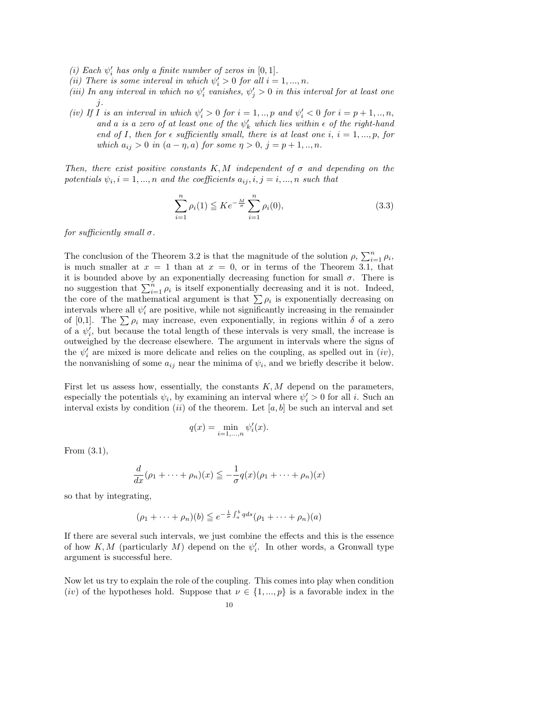- (i) Each  $\psi'_i$  has only a finite number of zeros in  $[0,1]$ .
- (ii) There is some interval in which  $\psi'_i > 0$  for all  $i = 1, ..., n$ .
- (iii) In any interval in which no  $\psi'_i$  vanishes,  $\psi'_j > 0$  in this interval for at least one j.
- (iv) If I is an interval in which  $\psi'_i > 0$  for  $i = 1,..,p$  and  $\psi'_i < 0$  for  $i = p + 1,..,n$ , and a is a zero of at least one of the  $\psi'_k$  which lies within  $\epsilon$  of the right-hand end of I, then for  $\epsilon$  sufficiently small, there is at least one i,  $i = 1, ..., p$ , for which  $a_{ij} > 0$  in  $(a - \eta, a)$  for some  $\eta > 0$ ,  $j = p + 1, ..., n$ .

Then, there exist positive constants  $K, M$  independent of  $\sigma$  and depending on the potentials  $\psi_i, i = 1, ..., n$  and the coefficients  $a_{ij}, i, j = i, ..., n$  such that

$$
\sum_{i=1}^{n} \rho_i(1) \leq Ke^{-\frac{M}{\sigma}} \sum_{i=1}^{n} \rho_i(0),
$$
\n(3.3)

for sufficiently small  $\sigma$ .

The conclusion of the Theorem 3.2 is that the magnitude of the solution  $\rho$ ,  $\sum_{i=1}^{n} \rho_i$ , is much smaller at  $x = 1$  than at  $x = 0$ , or in terms of the Theorem 3.1, that it is bounded above by an exponentially decreasing function for small  $\sigma$ . There is no suggestion that  $\sum_{i=1}^{n} \rho_i$  is itself exponentially decreasing and it is not. Indeed, the core of the mathematical argument is that  $\sum \rho_i$  is exponentially decreasing on intervals where all  $\psi'_i$  are positive, while not significantly increasing in the remainder of [0,1]. The  $\sum \rho_i$  may increase, even exponentially, in regions within  $\delta$  of a zero of a  $\psi'_i$ , but because the total length of these intervals is very small, the increase is outweighed by the decrease elsewhere. The argument in intervals where the signs of the  $\psi'_i$  are mixed is more delicate and relies on the coupling, as spelled out in  $(iv)$ , the nonvanishing of some  $a_{ij}$  near the minima of  $\psi_i$ , and we briefly describe it below.

First let us assess how, essentially, the constants  $K, M$  depend on the parameters, especially the potentials  $\psi_i$ , by examining an interval where  $\psi'_i > 0$  for all *i*. Such an interval exists by condition (ii) of the theorem. Let  $[a, b]$  be such an interval and set

$$
q(x) = \min_{i=1,\dots,n} \psi_i'(x).
$$

From (3.1),

$$
\frac{d}{dx}(\rho_1 + \dots + \rho_n)(x) \leq -\frac{1}{\sigma}q(x)(\rho_1 + \dots + \rho_n)(x)
$$

so that by integrating,

$$
(\rho_1 + \dots + \rho_n)(b) \leq e^{-\frac{1}{\sigma} \int_a^b q ds} (\rho_1 + \dots + \rho_n)(a)
$$

If there are several such intervals, we just combine the effects and this is the essence of how  $K, M$  (particularly M) depend on the  $\psi'_i$ . In other words, a Gronwall type argument is successful here.

Now let us try to explain the role of the coupling. This comes into play when condition (iv) of the hypotheses hold. Suppose that  $\nu \in \{1, ..., p\}$  is a favorable index in the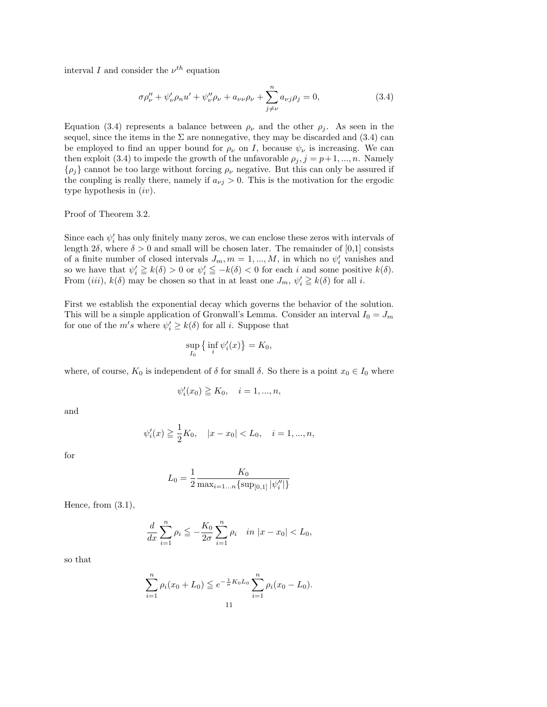interval I and consider the  $\nu^{th}$  equation

$$
\sigma \rho''_{\nu} + \psi'_{\nu} \rho_n u' + \psi''_{\nu} \rho_{\nu} + a_{\nu \nu} \rho_{\nu} + \sum_{j \neq \nu}^{n} a_{\nu j} \rho_j = 0, \qquad (3.4)
$$

Equation (3.4) represents a balance between  $\rho_{\nu}$  and the other  $\rho_{j}$ . As seen in the sequel, since the items in the  $\Sigma$  are nonnegative, they may be discarded and (3.4) can be employed to find an upper bound for  $\rho_{\nu}$  on I, because  $\psi_{\nu}$  is increasing. We can then exploit (3.4) to impede the growth of the unfavorable  $\rho_j$ ,  $j = p+1, ..., n$ . Namely  $\{\rho_j\}$  cannot be too large without forcing  $\rho_{\nu}$  negative. But this can only be assured if the coupling is really there, namely if  $a_{\nu j} > 0$ . This is the motivation for the ergodic type hypothesis in  $(iv)$ .

Proof of Theorem 3.2.

Since each  $\psi'_i$  has only finitely many zeros, we can enclose these zeros with intervals of length  $2\delta$ , where  $\delta > 0$  and small will be chosen later. The remainder of [0,1] consists of a finite number of closed intervals  $J_m$ ,  $m = 1, ..., M$ , in which no  $\psi'_i$  vanishes and so we have that  $\psi'_i \geqq k(\delta) > 0$  or  $\psi'_i \leqq -k(\delta) < 0$  for each i and some positive  $k(\delta)$ . From (iii),  $k(\delta)$  may be chosen so that in at least one  $J_m$ ,  $\psi'_i \geq k(\delta)$  for all i.

First we establish the exponential decay which governs the behavior of the solution. This will be a simple application of Gronwall's Lemma. Consider an interval  $I_0 = J_m$ for one of the  $m's$  where  $\psi_i' \geq k(\delta)$  for all *i*. Suppose that

$$
\sup_{I_0} \left\{ \inf_i \psi_i'(x) \right\} = K_0,
$$

where, of course,  $K_0$  is independent of  $\delta$  for small  $\delta$ . So there is a point  $x_0 \in I_0$  where

$$
\psi'_i(x_0) \geqq K_0, \quad i = 1, ..., n,
$$

and

$$
\psi'_i(x) \ge \frac{1}{2}K_0
$$
,  $|x - x_0| < L_0$ ,  $i = 1, ..., n$ ,

for

$$
L_0 = \frac{1}{2} \frac{K_0}{\max_{i=1...n} {\sup_{[0,1]} |\psi_i''|}}
$$

Hence, from  $(3.1)$ ,

$$
\frac{d}{dx}\sum_{i=1}^{n}\rho_i \leqq -\frac{K_0}{2\sigma}\sum_{i=1}^{n}\rho_i \quad in \ |x - x_0| < L_0,
$$

so that

$$
\sum_{i=1}^{n} \rho_i(x_0 + L_0) \leq e^{-\frac{1}{\sigma}K_0L_0} \sum_{i=1}^{n} \rho_i(x_0 - L_0).
$$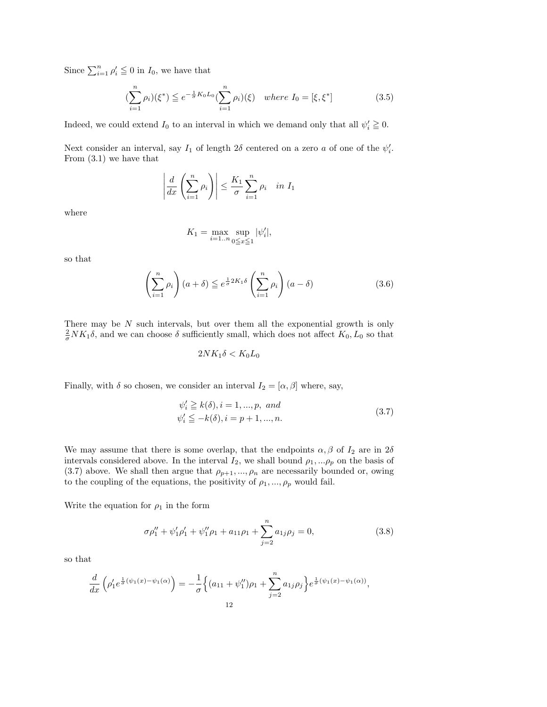Since  $\sum_{i=1}^{n} \rho'_i \leq 0$  in  $I_0$ , we have that

$$
\left(\sum_{i=1}^{n} \rho_i\right)(\xi^*) \leqq e^{-\frac{1}{\sigma}K_0 L_0} \left(\sum_{i=1}^{n} \rho_i\right)(\xi) \quad where \ I_0 = [\xi, \xi^*]
$$
\n(3.5)

Indeed, we could extend  $I_0$  to an interval in which we demand only that all  $\psi'_i \geq 0$ .

Next consider an interval, say  $I_1$  of length  $2\delta$  centered on a zero a of one of the  $\psi'_i$ . From (3.1) we have that

$$
\left| \frac{d}{dx} \left( \sum_{i=1}^n \rho_i \right) \right| \le \frac{K_1}{\sigma} \sum_{i=1}^n \rho_i \quad in \ I_1
$$

where

$$
K_1=\max_{i=1..n}\sup_{0\leqq x\leqq 1}|\psi_i'|,
$$

so that

$$
\left(\sum_{i=1}^{n} \rho_i\right) (a+\delta) \leq e^{\frac{1}{\sigma} 2K_1 \delta} \left(\sum_{i=1}^{n} \rho_i\right) (a-\delta)
$$
\n(3.6)

There may be  $N$  such intervals, but over them all the exponential growth is only  $\frac{2}{\sigma} N K_1 \delta$ , and we can choose  $\delta$  sufficiently small, which does not affect  $K_0, L_0$  so that

$$
2NK_1\delta < K_0L_0
$$

Finally, with  $\delta$  so chosen, we consider an interval  $I_2 = [\alpha, \beta]$  where, say,

$$
\psi'_i \geq k(\delta), i = 1, ..., p, and
$$
  
\n $\psi'_i \leq -k(\delta), i = p + 1, ..., n.$  (3.7)

We may assume that there is some overlap, that the endpoints  $\alpha, \beta$  of  $I_2$  are in  $2\delta$ intervals considered above. In the interval  $I_2$ , we shall bound  $\rho_1, \ldots, \rho_p$  on the basis of (3.7) above. We shall then argue that  $\rho_{p+1}, ..., \rho_n$  are necessarily bounded or, owing to the coupling of the equations, the positivity of  $\rho_1,...,\rho_p$  would fail.

Write the equation for  $\rho_1$  in the form

$$
\sigma \rho_1'' + \psi_1' \rho_1' + \psi_1'' \rho_1 + a_{11} \rho_1 + \sum_{j=2}^n a_{1j} \rho_j = 0,
$$
\n(3.8)

so that

$$
\frac{d}{dx}\left(\rho'_1 e^{\frac{1}{\sigma}(\psi_1(x)-\psi_1(\alpha)}\right) = -\frac{1}{\sigma}\left\{(a_{11}+\psi''_1)\rho_1 + \sum_{j=2}^n a_{1j}\rho_j\right\}e^{\frac{1}{\sigma}(\psi_1(x)-\psi_1(\alpha))},
$$
\n<sup>12</sup>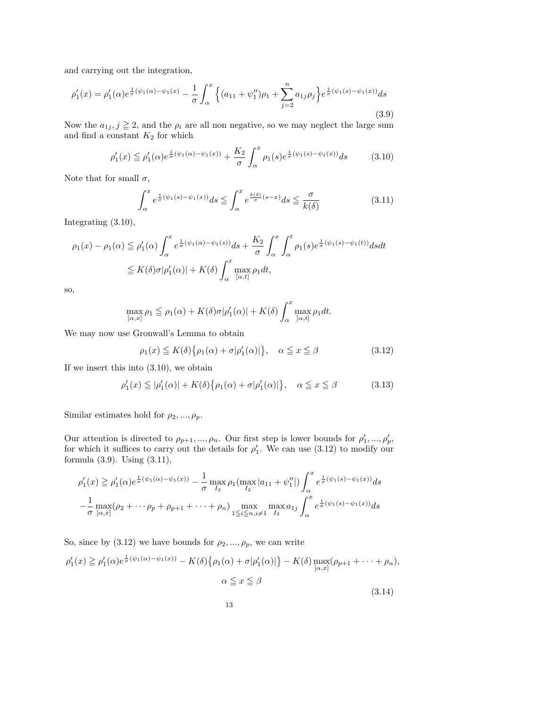and carrying out the integration,

$$
\rho_1'(x) = \rho_1'(\alpha) e^{\frac{1}{\sigma}(\psi_1(\alpha) - \psi_1(x))} - \frac{1}{\sigma} \int_{\alpha}^x \left\{ (a_{11} + \psi_1'')\rho_1 + \sum_{j=2}^n a_{1j}\rho_j \right\} e^{\frac{1}{\sigma}(\psi_1(s) - \psi_1(x))} ds
$$
\n(3.9)

Now the  $a_{1j}$ ,  $j \geq 2$ , and the  $\rho_i$  are all non negative, so we may neglect the large sum and find a constant  $K_2$  for which

$$
\rho_1'(x) \le \rho_1'(\alpha) e^{\frac{1}{\sigma}(\psi_1(\alpha) - \psi_1(x))} + \frac{K_2}{\sigma} \int_{\alpha}^x \rho_1(s) e^{\frac{1}{\sigma}(\psi_1(s) - \psi_1(x))} ds \tag{3.10}
$$

Note that for small  $\sigma$ ,

$$
\int_{\alpha}^{x} e^{\frac{1}{\sigma}(\psi_1(s) - \psi_1(x))} ds \leq \int_{\alpha}^{x} e^{\frac{k(\delta)}{\sigma}(s-x)} ds \leq \frac{\sigma}{k(\delta)}
$$
(3.11)

Integrating (3.10),

$$
\rho_1(x) - \rho_1(\alpha) \leq \rho'_1(\alpha) \int_{\alpha}^x e^{\frac{1}{\sigma}(\psi_1(\alpha) - \psi_1(s))} ds + \frac{K_2}{\sigma} \int_{\alpha}^x \int_{\alpha}^t \rho_1(s) e^{\frac{1}{\sigma}(\psi_1(s) - \psi_1(t))} ds dt
$$
  

$$
\leq K(\delta) \sigma |\rho'_1(\alpha)| + K(\delta) \int_{\alpha}^x \max_{[\alpha, t]} \rho_1 dt,
$$

so,

$$
\max_{[\alpha,x]}\rho_1 \leqq \rho_1(\alpha) + K(\delta)\sigma|\rho_1'(\alpha)| + K(\delta)\int_{\alpha}^x \max_{[\alpha,t]} \rho_1 dt.
$$

We may now use Gronwall's Lemma to obtain

$$
\rho_1(x) \le K(\delta) \{ \rho_1(\alpha) + \sigma |\rho'_1(\alpha)| \}, \quad \alpha \le x \le \beta \tag{3.12}
$$

If we insert this into (3.10), we obtain

$$
\rho_1'(x) \leq |\rho_1'(\alpha)| + K(\delta) \{ \rho_1(\alpha) + \sigma |\rho_1'(\alpha)| \}, \quad \alpha \leq x \leq \beta \tag{3.13}
$$

Similar estimates hold for  $\rho_2, ..., \rho_p$ .

Our attention is directed to  $\rho_{p+1}, ..., \rho_n$ . Our first step is lower bounds for  $\rho'_1, ..., \rho'_p$ , for which it suffices to carry out the details for  $\rho'_1$ . We can use (3.12) to modify our formula (3.9). Using (3.11),

$$
\rho'_1(x) \geq \rho'_1(\alpha) e^{\frac{1}{\sigma}(\psi_1(\alpha) - \psi_1(x))} - \frac{1}{\sigma} \max_{I_2} \rho_1(\max_{I_2} |a_{11} + \psi''_1|) \int_{\alpha}^x e^{\frac{1}{\sigma}(\psi_1(s) - \psi_1(x))} ds
$$
  

$$
- \frac{1}{\sigma} \max_{[\alpha, x]} (\rho_2 + \cdots + \rho_p + \rho_{p+1} + \cdots + \rho_n) \max_{1 \leq i \leq n, i \neq 1} \max_{I_2} a_{1j} \int_{\alpha}^x e^{\frac{1}{\sigma}(\psi_1(s) - \psi_1(x))} ds
$$

So, since by (3.12) we have bounds for  $\rho_2, ..., \rho_p$ , we can write

$$
\rho_1'(x) \ge \rho_1'(\alpha) e^{\frac{1}{\sigma}(\psi_1(\alpha) - \psi_1(x))} - K(\delta) \{ \rho_1(\alpha) + \sigma | \rho_1'(\alpha) | \} - K(\delta) \max_{[\alpha, x]} (\rho_{p+1} + \dots + \rho_n),
$$
  

$$
\alpha \le x \le \beta
$$
\n(3.14)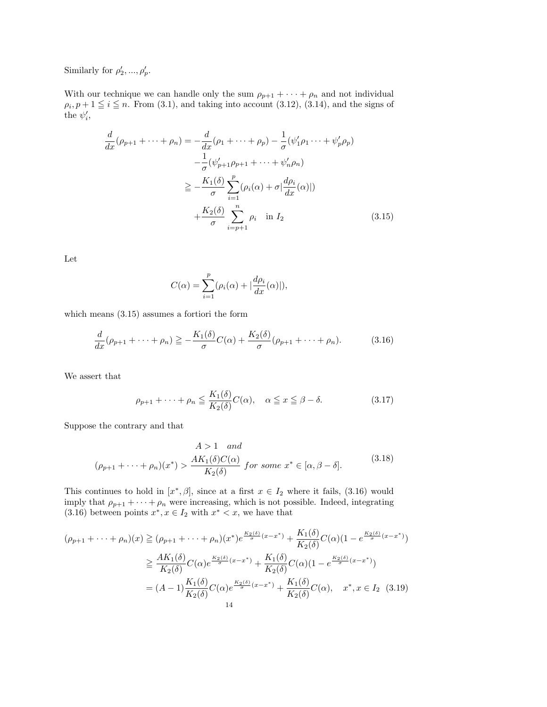Similarly for  $\rho'_2, ..., \rho'_p$ .

With our technique we can handle only the sum  $\rho_{p+1} + \cdots + \rho_n$  and not individual  $\rho_i$ ,  $p + 1 \leq i \leq n$ . From (3.1), and taking into account (3.12), (3.14), and the signs of the  $\psi'_i$ ,

$$
\frac{d}{dx}(\rho_{p+1} + \dots + \rho_n) = -\frac{d}{dx}(\rho_1 + \dots + \rho_p) - \frac{1}{\sigma}(\psi'_1 \rho_1 \dots + \psi'_p \rho_p) \n- \frac{1}{\sigma}(\psi'_{p+1} \rho_{p+1} + \dots + \psi'_n \rho_n) \n\geq -\frac{K_1(\delta)}{\sigma} \sum_{i=1}^p (\rho_i(\alpha) + \sigma | \frac{d\rho_i}{dx}(\alpha) |) \n+ \frac{K_2(\delta)}{\sigma} \sum_{i=p+1}^n \rho_i \quad \text{in } I_2
$$
\n(3.15)

Let

 $C(\alpha) = \sum_{n=1}^{p}$  $i=1$  $(\rho_i(\alpha) + |\frac{d\rho_i}{dx}(\alpha)|),$ 

which means (3.15) assumes a fortiori the form

$$
\frac{d}{dx}(\rho_{p+1} + \dots + \rho_n) \ge -\frac{K_1(\delta)}{\sigma}C(\alpha) + \frac{K_2(\delta)}{\sigma}(\rho_{p+1} + \dots + \rho_n). \tag{3.16}
$$

We assert that

$$
\rho_{p+1} + \dots + \rho_n \le \frac{K_1(\delta)}{K_2(\delta)} C(\alpha), \quad \alpha \le x \le \beta - \delta. \tag{3.17}
$$

Suppose the contrary and that

$$
A > 1 \quad and
$$
  

$$
(\rho_{p+1} + \dots + \rho_n)(x^*) > \frac{AK_1(\delta)C(\alpha)}{K_2(\delta)} \quad for \quad \text{some} \quad x^* \in [\alpha, \beta - \delta].
$$
 (3.18)

This continues to hold in  $[x^*,\beta]$ , since at a first  $x \in I_2$  where it fails, (3.16) would imply that  $\rho_{p+1} + \cdots + \rho_n$  were increasing, which is not possible. Indeed, integrating (3.16) between points  $x^*, x \in I_2$  with  $x^* < x$ , we have that

$$
(\rho_{p+1} + \dots + \rho_n)(x) \geq (\rho_{p+1} + \dots + \rho_n)(x^*) e^{\frac{K_2(\delta)}{\sigma}(x - x^*)} + \frac{K_1(\delta)}{K_2(\delta)} C(\alpha) (1 - e^{\frac{K_2(\delta)}{\sigma}(x - x^*)})
$$
  

$$
\geq \frac{AK_1(\delta)}{K_2(\delta)} C(\alpha) e^{\frac{K_2(\delta)}{\sigma}(x - x^*)} + \frac{K_1(\delta)}{K_2(\delta)} C(\alpha) (1 - e^{\frac{K_2(\delta)}{\sigma}(x - x^*)})
$$
  

$$
= (A - 1) \frac{K_1(\delta)}{K_2(\delta)} C(\alpha) e^{\frac{K_2(\delta)}{\sigma}(x - x^*)} + \frac{K_1(\delta)}{K_2(\delta)} C(\alpha), \quad x^*, x \in I_2 \quad (3.19)
$$
  
14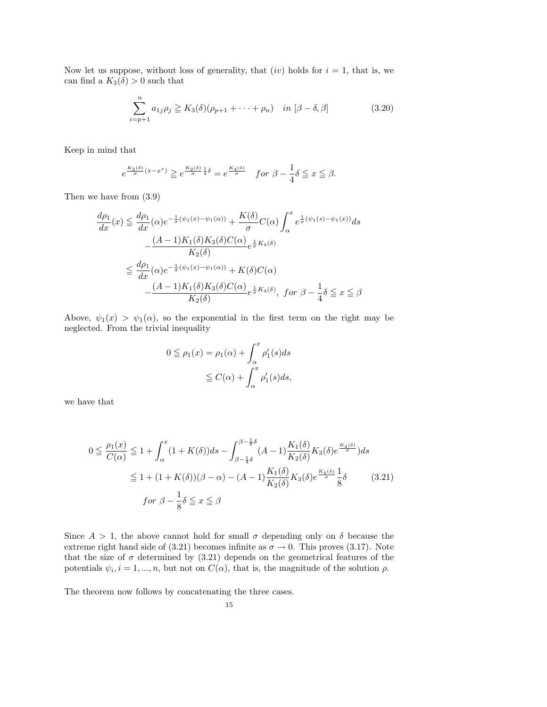Now let us suppose, without loss of generality, that  $(iv)$  holds for  $i = 1$ , that is, we can find a  $K_3(\delta) > 0$  such that

$$
\sum_{i=p+1}^{n} a_{1j}\rho_j \ge K_3(\delta)(\rho_{p+1} + \dots + \rho_n) \quad \text{in } [\beta - \delta, \beta]
$$
 (3.20)

Keep in mind that

$$
e^{\frac{K_2(\delta)}{\sigma}(x-x^*)}\geqq e^{\frac{K_2(\delta)}{\sigma}\frac{1}{4}\delta}=e^{\frac{K_4(\delta)}{\sigma}}\quad for \ \beta-\frac{1}{4}\delta\leqq x\leqq \beta.
$$

Then we have from (3.9)

$$
\frac{d\rho_1}{dx}(x) \le \frac{d\rho_1}{dx}(\alpha)e^{-\frac{1}{\sigma}(\psi_1(x) - \psi_1(\alpha))} + \frac{K(\delta)}{\sigma}C(\alpha)\int_{\alpha}^x e^{\frac{1}{\sigma}(\psi_1(s) - \psi_1(x))}ds
$$

$$
-\frac{(A-1)K_1(\delta)K_3(\delta)C(\alpha)}{K_2(\delta)}e^{\frac{1}{\sigma}K_4(\delta)}
$$

$$
\le \frac{d\rho_1}{dx}(\alpha)e^{-\frac{1}{\sigma}(\psi_1(x) - \psi_1(\alpha))} + K(\delta)C(\alpha)
$$

$$
-\frac{(A-1)K_1(\delta)K_3(\delta)C(\alpha)}{K_2(\delta)}e^{\frac{1}{\sigma}K_4(\delta)}, \text{ for } \beta - \frac{1}{4}\delta \le x \le \beta
$$

Above,  $\psi_1(x) > \psi_1(\alpha)$ , so the exponential in the first term on the right may be neglected. From the trivial inequality

$$
0 \leq \rho_1(x) = \rho_1(\alpha) + \int_{\alpha}^x \rho'_1(s)ds
$$
  

$$
\leq C(\alpha) + \int_{\alpha}^x \rho'_1(s)ds,
$$

we have that

$$
0 \leq \frac{\rho_1(x)}{C(\alpha)} \leq 1 + \int_{\alpha}^x (1 + K(\delta)) ds - \int_{\beta - \frac{1}{4}\delta}^{\beta - \frac{1}{8}\delta} (A - 1) \frac{K_1(\delta)}{K_2(\delta)} K_3(\delta) e^{\frac{K_4(\delta)}{\sigma}}) ds
$$
  

$$
\leq 1 + (1 + K(\delta)) (\beta - \alpha) - (A - 1) \frac{K_1(\delta)}{K_2(\delta)} K_3(\delta) e^{\frac{K_4(\delta)}{\sigma}} \frac{1}{8}\delta \qquad (3.21)
$$
  
*for*  $\beta - \frac{1}{8}\delta \leq x \leq \beta$ 

Since  $A > 1$ , the above cannot hold for small  $\sigma$  depending only on  $\delta$  because the extreme right hand side of (3.21) becomes infinite as  $\sigma \to 0$ . This proves (3.17). Note that the size of  $\sigma$  determined by (3.21) depends on the geometrical features of the potentials  $\psi_i$ ,  $i = 1, ..., n$ , but not on  $C(\alpha)$ , that is, the magnitude of the solution  $\rho$ .

The theorem now follows by concatenating the three cases.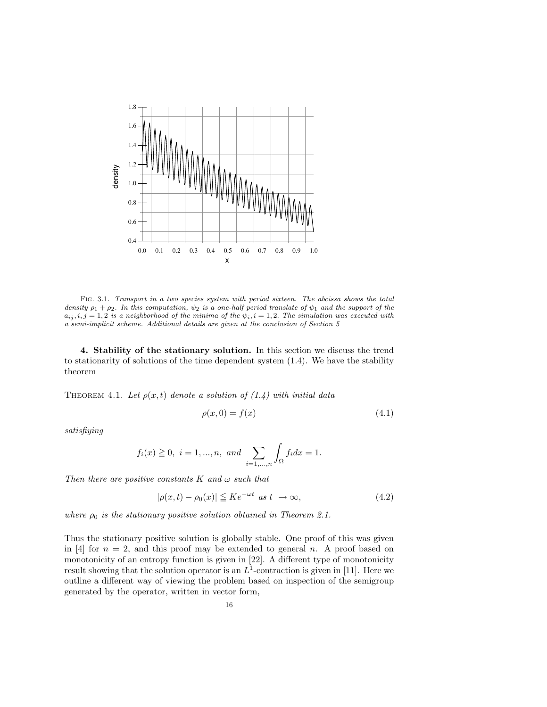

FIG. 3.1. Transport in a two species system with period sixteen. The abcissa shows the total density  $\rho_1 + \rho_2$ . In this computation,  $\psi_2$  is a one-half period translate of  $\psi_1$  and the support of the  $a_{ij}, i, j = 1, 2$  is a neighborhood of the minima of the  $\psi_i, i = 1, 2$ . The simulation was executed with a semi-implicit scheme. Additional details are given at the conclusion of Section 5

4. Stability of the stationary solution. In this section we discuss the trend to stationarity of solutions of the time dependent system (1.4). We have the stability theorem

THEOREM 4.1. Let  $\rho(x,t)$  denote a solution of  $(1.4)$  with initial data

$$
\rho(x,0) = f(x) \tag{4.1}
$$

satisfiying

$$
f_i(x) \ge 0, \ i = 1, ..., n, \ and \ \sum_{i=1,...,n} \int_{\Omega} f_i dx = 1.
$$

Then there are positive constants  $K$  and  $\omega$  such that

$$
|\rho(x,t) - \rho_0(x)| \leq Ke^{-\omega t} \text{ as } t \to \infty,
$$
\n(4.2)

where  $\rho_0$  is the stationary positive solution obtained in Theorem 2.1.

Thus the stationary positive solution is globally stable. One proof of this was given in [4] for  $n = 2$ , and this proof may be extended to general n. A proof based on monotonicity of an entropy function is given in [22]. A different type of monotonicity result showing that the solution operator is an  $L^1$ -contraction is given in [11]. Here we outline a different way of viewing the problem based on inspection of the semigroup generated by the operator, written in vector form,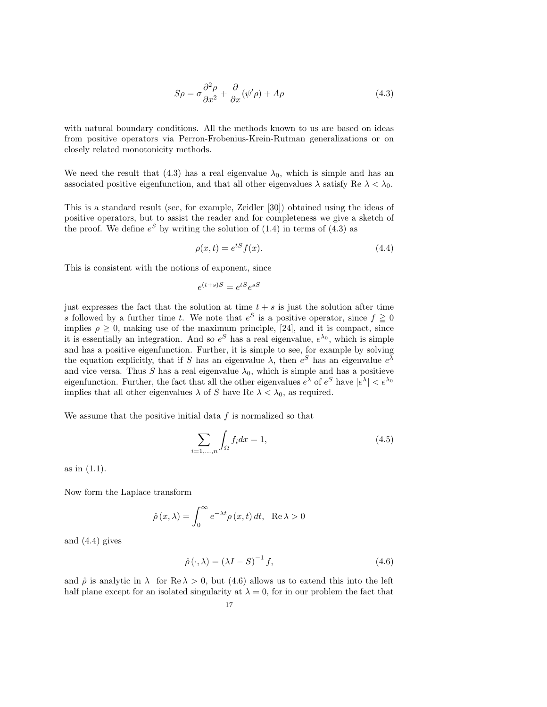$$
S\rho = \sigma \frac{\partial^2 \rho}{\partial x^2} + \frac{\partial}{\partial x} (\psi' \rho) + A\rho \tag{4.3}
$$

with natural boundary conditions. All the methods known to us are based on ideas from positive operators via Perron-Frobenius-Krein-Rutman generalizations or on closely related monotonicity methods.

We need the result that (4.3) has a real eigenvalue  $\lambda_0$ , which is simple and has an associated positive eigenfunction, and that all other eigenvalues  $\lambda$  satisfy Re  $\lambda < \lambda_0$ .

This is a standard result (see, for example, Zeidler [30]) obtained using the ideas of positive operators, but to assist the reader and for completeness we give a sketch of the proof. We define  $e^S$  by writing the solution of (1.4) in terms of (4.3) as

$$
\rho(x,t) = e^{tS} f(x). \tag{4.4}
$$

This is consistent with the notions of exponent, since

$$
e^{(t+s)S} = e^{tS}e^{sS}
$$

just expresses the fact that the solution at time  $t + s$  is just the solution after time s followed by a further time t. We note that  $e^S$  is a positive operator, since  $f \ge 0$ implies  $\rho \geq 0$ , making use of the maximum principle, [24], and it is compact, since it is essentially an integration. And so  $e^S$  has a real eigenvalue,  $e^{\lambda_0}$ , which is simple and has a positive eigenfunction. Further, it is simple to see, for example by solving the equation explicitly, that if S has an eigenvalue  $\lambda$ , then  $e^S$  has an eigenvalue  $e^{\lambda}$ and vice versa. Thus S has a real eigenvalue  $\lambda_0$ , which is simple and has a positieve eigenfunction. Further, the fact that all the other eigenvalues  $e^{\lambda}$  of  $e^S$  have  $|e^{\lambda}| < e^{\lambda_0}$ implies that all other eigenvalues  $\lambda$  of S have Re  $\lambda < \lambda_0$ , as required.

We assume that the positive initial data  $f$  is normalized so that

$$
\sum_{i=1,\ldots,n} \int_{\Omega} f_i dx = 1,\tag{4.5}
$$

as in (1.1).

Now form the Laplace transform

$$
\hat{\rho}(x,\lambda) = \int_0^\infty e^{-\lambda t} \rho(x,t) dt, \quad \text{Re }\lambda > 0
$$

and (4.4) gives

$$
\hat{\rho}(\cdot,\lambda) = (\lambda I - S)^{-1} f,\tag{4.6}
$$

and  $\hat{\rho}$  is analytic in  $\lambda$  for Re  $\lambda > 0$ , but (4.6) allows us to extend this into the left half plane except for an isolated singularity at  $\lambda = 0$ , for in our problem the fact that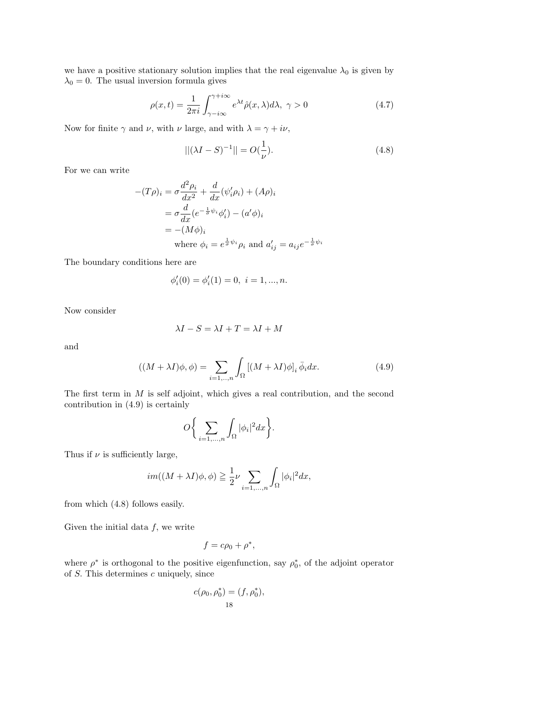we have a positive stationary solution implies that the real eigenvalue  $\lambda_0$  is given by  $\lambda_0=0.$  The usual inversion formula gives

$$
\rho(x,t) = \frac{1}{2\pi i} \int_{\gamma - i\infty}^{\gamma + i\infty} e^{\lambda t} \hat{\rho}(x,\lambda) d\lambda, \ \gamma > 0 \tag{4.7}
$$

Now for finite  $\gamma$  and  $\nu$ , with  $\nu$  large, and with  $\lambda = \gamma + i\nu$ ,

$$
||(\lambda I - S)^{-1}|| = O(\frac{1}{\nu}).
$$
\n(4.8)

For we can write

$$
-(T\rho)_i = \sigma \frac{d^2 \rho_i}{dx^2} + \frac{d}{dx}(\psi'_i \rho_i) + (A\rho)_i
$$
  
=  $\sigma \frac{d}{dx} (e^{-\frac{1}{\sigma}\psi_i} \phi'_i) - (a'\phi)_i$   
=  $-(M\phi)_i$   
where  $\phi_i = e^{\frac{1}{\sigma}\psi_i} \rho_i$  and  $a'_{ij} = a_{ij}e^{-\frac{1}{\sigma}\psi_i}$ 

The boundary conditions here are

$$
\phi_i'(0) = \phi_i'(1) = 0, \ i = 1, ..., n.
$$

Now consider

$$
\lambda I - S = \lambda I + T = \lambda I + M
$$

and

$$
((M + \lambda I)\phi, \phi) = \sum_{i=1,\dots,n} \int_{\Omega} [(M + \lambda I)\phi]_i \bar{\phi}_i dx.
$$
 (4.9)

The first term in M is self adjoint, which gives a real contribution, and the second contribution in (4.9) is certainly

$$
O\bigg\{\sum_{i=1,\ldots,n}\int_{\Omega}|\phi_i|^2dx\bigg\}.
$$

Thus if  $\nu$  is sufficiently large,

$$
im((M+\lambda I)\phi,\phi) \geq \frac{1}{2}\nu \sum_{i=1,\ldots,n} \int_{\Omega} |\phi_i|^2 dx,
$$

from which (4.8) follows easily.

Given the initial data  $f$ , we write

$$
f=c\rho_0+\rho^*,
$$

where  $\rho^*$  is orthogonal to the positive eigenfunction, say  $\rho_0^*$ , of the adjoint operator of  $S$ . This determines  $c$  uniquely, since

$$
c(\rho_0, \rho_0^*) = (f, \rho_0^*),
$$
  
18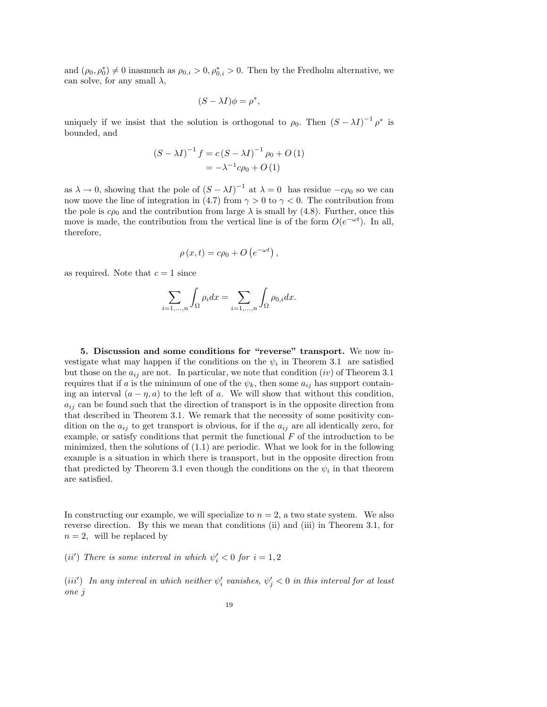and  $(\rho_0, \rho_0^*) \neq 0$  inasmuch as  $\rho_{0,i} > 0$ ,  $\rho_{0,i}^* > 0$ . Then by the Fredholm alternative, we can solve, for any small  $\lambda$ ,

$$
(S - \lambda I)\phi = \rho^*,
$$

uniquely if we insist that the solution is orthogonal to  $\rho_0$ . Then  $(S - \lambda I)^{-1} \rho^*$  is bounded, and

$$
(S - \lambda I)^{-1} f = c (S - \lambda I)^{-1} \rho_0 + O (1)
$$
  
=  $-\lambda^{-1} c \rho_0 + O (1)$ 

as  $\lambda \to 0$ , showing that the pole of  $(S - \lambda I)^{-1}$  at  $\lambda = 0$  has residue  $-c\rho_0$  so we can now move the line of integration in (4.7) from  $\gamma > 0$  to  $\gamma < 0$ . The contribution from the pole is  $c\rho_0$  and the contribution from large  $\lambda$  is small by (4.8). Further, once this move is made, the contribution from the vertical line is of the form  $O(e^{-\omega t})$ . In all, therefore,

$$
\rho(x,t) = c\rho_0 + O\left(e^{-\omega t}\right),\,
$$

as required. Note that  $c = 1$  since

$$
\sum_{i=1,\ldots,n} \int_{\Omega} \rho_i dx = \sum_{i=1,\ldots,n} \int_{\Omega} \rho_{0,i} dx.
$$

5. Discussion and some conditions for "reverse" transport. We now investigate what may happen if the conditions on the  $\psi_i$  in Theorem 3.1 are satisfied but those on the  $a_{ij}$  are not. In particular, we note that condition  $(iv)$  of Theorem 3.1 requires that if a is the minimum of one of the  $\psi_k$ , then some  $a_{ij}$  has support containing an interval  $(a - \eta, a)$  to the left of a. We will show that without this condition,  $a_{ij}$  can be found such that the direction of transport is in the opposite direction from that described in Theorem 3.1. We remark that the necessity of some positivity condition on the  $a_{ij}$  to get transport is obvious, for if the  $a_{ij}$  are all identically zero, for example, or satisfy conditions that permit the functional  $F$  of the introduction to be minimized, then the solutions of (1.1) are periodic. What we look for in the following example is a situation in which there is transport, but in the opposite direction from that predicted by Theorem 3.1 even though the conditions on the  $\psi_i$  in that theorem are satisfied.

In constructing our example, we will specialize to  $n = 2$ , a two state system. We also reverse direction. By this we mean that conditions (ii) and (iii) in Theorem 3.1, for  $n = 2$ , will be replaced by

(ii') There is some interval in which  $\psi'_i < 0$  for  $i = 1, 2$ 

(iii') In any interval in which neither  $\psi'_i$  vanishes,  $\psi'_j < 0$  in this interval for at least one j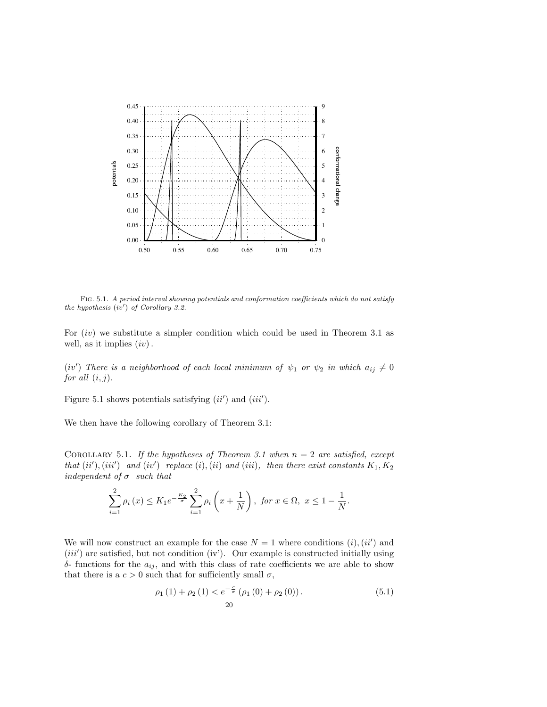

Fig. 5.1. A period interval showing potentials and conformation coefficients which do not satisfy the hypothesis  $(iv')$  of Corollary 3.2.

For  $(iv)$  we substitute a simpler condition which could be used in Theorem 3.1 as well, as it implies  $(iv)$ .

(iv') There is a neighborhood of each local minimum of  $\psi_1$  or  $\psi_2$  in which  $a_{ij} \neq 0$ for all  $(i, j)$ .

Figure 5.1 shows potentials satisfying  $(ii')$  and  $(iii')$ .

We then have the following corollary of Theorem 3.1:

COROLLARY 5.1. If the hypotheses of Theorem 3.1 when  $n = 2$  are satisfied, except that  $(ii'),(iii')$  and  $(iv')$  replace  $(i),(ii)$  and  $(iii),$  then there exist constants  $K_1, K_2$ independent of  $\sigma$  such that

$$
\sum_{i=1}^{2} \rho_i(x) \le K_1 e^{-\frac{K_2}{\sigma}} \sum_{i=1}^{2} \rho_i\left(x + \frac{1}{N}\right), \text{ for } x \in \Omega, \ x \le 1 - \frac{1}{N}.
$$

We will now construct an example for the case  $N = 1$  where conditions  $(i)$ ,  $(ii')$  and  $(iii')$  are satisfied, but not condition (iv'). Our example is constructed initially using δ- functions for the  $a_{ij}$ , and with this class of rate coefficients we are able to show that there is a  $c > 0$  such that for sufficiently small  $\sigma$ ,

$$
\rho_1(1) + \rho_2(1) < e^{-\frac{c}{\sigma}} \left( \rho_1(0) + \rho_2(0) \right). \tag{5.1}
$$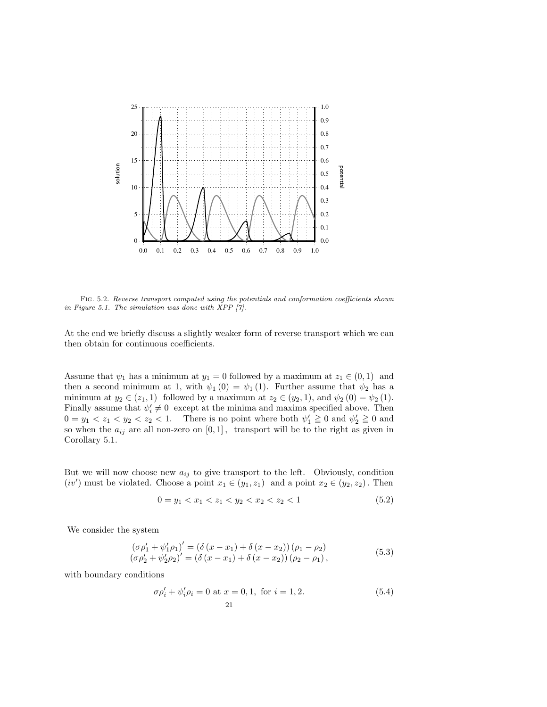

Fig. 5.2. Reverse transport computed using the potentials and conformation coefficients shown in Figure 5.1. The simulation was done with XPP [7].

At the end we briefly discuss a slightly weaker form of reverse transport which we can then obtain for continuous coefficients.

Assume that  $\psi_1$  has a minimum at  $y_1 = 0$  followed by a maximum at  $z_1 \in (0,1)$  and then a second minimum at 1, with  $\psi_1(0) = \psi_1(1)$ . Further assume that  $\psi_2$  has a minimum at  $y_2 \in (z_1, 1)$  followed by a maximum at  $z_2 \in (y_2, 1)$ , and  $\psi_2(0) = \psi_2(1)$ . Finally assume that  $\psi'_i \neq 0$  except at the minima and maxima specified above. Then  $0 = y_1 < z_1 < y_2 < z_2 < 1$ . There is no point where both  $\psi'_1 \geq 0$  and  $\psi'_2 \geq 0$  and so when the  $a_{ij}$  are all non-zero on  $[0, 1]$ , transport will be to the right as given in Corollary 5.1.

But we will now choose new  $a_{ij}$  to give transport to the left. Obviously, condition  $(iv')$  must be violated. Choose a point  $x_1 \in (y_1, z_1)$  and a point  $x_2 \in (y_2, z_2)$ . Then

$$
0 = y_1 < x_1 < z_1 < y_2 < x_2 < z_2 < 1 \tag{5.2}
$$

We consider the system

$$
(\sigma \rho'_1 + \psi'_1 \rho_1)' = (\delta (x - x_1) + \delta (x - x_2)) (\rho_1 - \rho_2)
$$
  
\n
$$
(\sigma \rho'_2 + \psi'_2 \rho_2)' = (\delta (x - x_1) + \delta (x - x_2)) (\rho_2 - \rho_1),
$$
\n(5.3)

with boundary conditions

$$
\sigma \rho_i' + \psi_i' \rho_i = 0 \text{ at } x = 0, 1, \text{ for } i = 1, 2.
$$
 (5.4)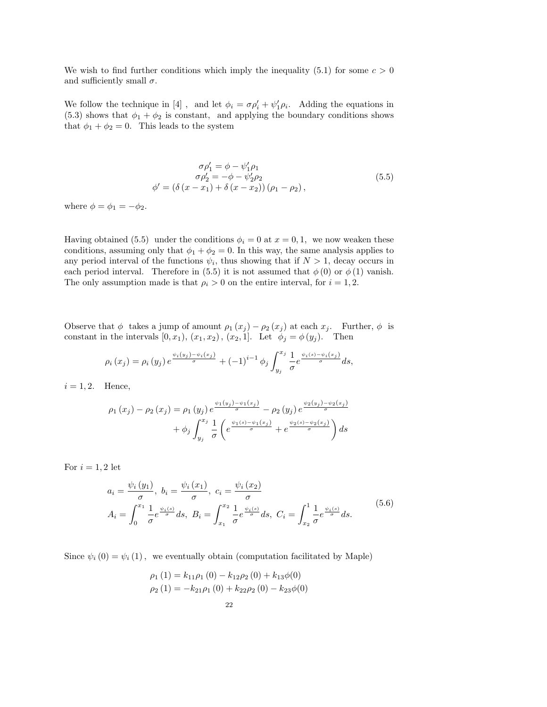We wish to find further conditions which imply the inequality (5.1) for some  $c > 0$ and sufficiently small  $\sigma$ .

We follow the technique in [4], and let  $\phi_i = \sigma \rho'_i + \psi'_1 \rho_i$ . Adding the equations in (5.3) shows that  $\phi_1 + \phi_2$  is constant, and applying the boundary conditions shows that  $\phi_1 + \phi_2 = 0$ . This leads to the system

$$
\sigma \rho_1' = \phi - \psi_1' \rho_1 \n\sigma \rho_2' = -\phi - \psi_2' \rho_2 \n\phi' = (\delta (x - x_1) + \delta (x - x_2)) (\rho_1 - \rho_2),
$$
\n(5.5)

where  $\phi = \phi_1 = -\phi_2$ .

Having obtained (5.5) under the conditions  $\phi_i = 0$  at  $x = 0, 1$ , we now weaken these conditions, assuming only that  $\phi_1 + \phi_2 = 0$ . In this way, the same analysis applies to any period interval of the functions  $\psi_i$ , thus showing that if  $N > 1$ , decay occurs in each period interval. Therefore in (5.5) it is not assumed that  $\phi(0)$  or  $\phi(1)$  vanish. The only assumption made is that  $\rho_i > 0$  on the entire interval, for  $i = 1, 2$ .

Observe that  $\phi$  takes a jump of amount  $\rho_1(x_j) - \rho_2(x_j)$  at each  $x_j$ . Further,  $\phi$  is constant in the intervals  $[0, x_1)$ ,  $(x_1, x_2)$ ,  $(x_2, 1]$ . Let  $\phi_j = \phi(y_j)$ . Then

$$
\rho_i(x_j) = \rho_i(y_j) e^{\frac{\psi_i(y_j) - \psi_i(x_j)}{\sigma}} + (-1)^{i-1} \phi_j \int_{y_j}^{x_j} \frac{1}{\sigma} e^{\frac{\psi_i(s) - \psi_i(x_j)}{\sigma}} ds,
$$

 $i = 1, 2$ . Hence,

$$
\rho_1(x_j) - \rho_2(x_j) = \rho_1(y_j) e^{\frac{\psi_1(y_j) - \psi_1(x_j)}{\sigma}} - \rho_2(y_j) e^{\frac{\psi_2(y_j) - \psi_2(x_j)}{\sigma}}
$$

$$
+ \phi_j \int_{y_j}^{x_j} \frac{1}{\sigma} \left( e^{\frac{\psi_1(s) - \psi_1(x_j)}{\sigma}} + e^{\frac{\psi_2(s) - \psi_2(x_j)}{\sigma}} \right) ds
$$

For  $i = 1, 2$  let

$$
a_{i} = \frac{\psi_{i}(y_{1})}{\sigma}, \ b_{i} = \frac{\psi_{i}(x_{1})}{\sigma}, \ c_{i} = \frac{\psi_{i}(x_{2})}{\sigma}
$$
  
\n
$$
A_{i} = \int_{0}^{x_{1}} \frac{1}{\sigma} e^{\frac{\psi_{i}(s)}{\sigma}} ds, \ B_{i} = \int_{x_{1}}^{x_{2}} \frac{1}{\sigma} e^{\frac{\psi_{i}(s)}{\sigma}} ds, \ C_{i} = \int_{x_{2}}^{1} \frac{1}{\sigma} e^{\frac{\psi_{i}(s)}{\sigma}} ds.
$$
\n
$$
(5.6)
$$

Since  $\psi_i(0) = \psi_i(1)$ , we eventually obtain (computation facilitated by Maple)

$$
\rho_1(1) = k_{11}\rho_1(0) - k_{12}\rho_2(0) + k_{13}\phi(0)
$$
  

$$
\rho_2(1) = -k_{21}\rho_1(0) + k_{22}\rho_2(0) - k_{23}\phi(0)
$$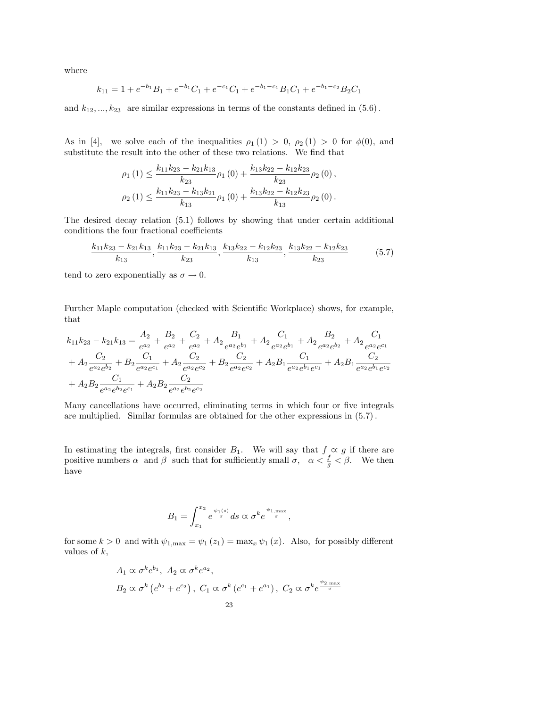where

$$
k_{11} = 1 + e^{-b_1}B_1 + e^{-b_1}C_1 + e^{-c_1}C_1 + e^{-b_1-c_1}B_1C_1 + e^{-b_1-c_2}B_2C_1
$$

and  $k_{12}, ..., k_{23}$  are similar expressions in terms of the constants defined in  $(5.6)$ .

As in [4], we solve each of the inequalities  $\rho_1(1) > 0$ ,  $\rho_2(1) > 0$  for  $\phi(0)$ , and substitute the result into the other of these two relations. We find that

$$
\rho_1(1) \le \frac{k_{11}k_{23} - k_{21}k_{13}}{k_{23}} \rho_1(0) + \frac{k_{13}k_{22} - k_{12}k_{23}}{k_{23}} \rho_2(0),
$$
  

$$
\rho_2(1) \le \frac{k_{11}k_{23} - k_{13}k_{21}}{k_{13}} \rho_1(0) + \frac{k_{13}k_{22} - k_{12}k_{23}}{k_{13}} \rho_2(0).
$$

The desired decay relation (5.1) follows by showing that under certain additional conditions the four fractional coefficients

$$
\frac{k_{11}k_{23} - k_{21}k_{13}}{k_{13}}, \frac{k_{11}k_{23} - k_{21}k_{13}}{k_{23}}, \frac{k_{13}k_{22} - k_{12}k_{23}}{k_{13}}, \frac{k_{13}k_{22} - k_{12}k_{23}}{k_{23}} \tag{5.7}
$$

tend to zero exponentially as  $\sigma \to 0$ .

Further Maple computation (checked with Scientific Workplace) shows, for example, that

$$
k_{11}k_{23} - k_{21}k_{13} = \frac{A_2}{e^{a_2}} + \frac{B_2}{e^{a_2}} + \frac{C_2}{e^{a_2}} + A_2 \frac{B_1}{e^{a_2}e^{b_1}} + A_2 \frac{C_1}{e^{a_2}e^{b_2}} + A_2 \frac{B_2}{e^{a_2}e^{b_2}} + A_2 \frac{C_1}{e^{a_2}e^{c_1}} + A_2 \frac{C_2}{e^{a_2}e^{b_2}} + B_2 \frac{C_1}{e^{a_2}e^{c_1}} + A_2 \frac{C_2}{e^{a_2}e^{c_2}} + B_2 \frac{C_2}{e^{a_2}e^{c_2}} + A_2 B_1 \frac{C_1}{e^{a_2}e^{b_1}e^{c_1}} + A_2 B_1 \frac{C_2}{e^{a_2}e^{b_1}e^{c_2}} + A_2 B_2 \frac{C_1}{e^{a_2}e^{b_2}e^{c_1}} + A_2 B_2 \frac{C_2}{e^{a_2}e^{b_2}e^{c_2}}
$$

Many cancellations have occurred, eliminating terms in which four or five integrals are multiplied. Similar formulas are obtained for the other expressions in (5.7).

In estimating the integrals, first consider  $B_1$ . We will say that  $f \propto g$  if there are positive numbers  $\alpha$  and  $\beta$  such that for sufficiently small  $\sigma$ ,  $\alpha < \frac{f}{g} < \beta$ . We then have

$$
B_1=\int_{x_1}^{x_2}e^{\frac{\psi_1(s)}{\sigma}}ds\propto \sigma^k e^{\frac{\psi_1,\max}{\sigma}},
$$

for some  $k > 0$  and with  $\psi_{1,\max} = \psi_1(z_1) = \max_x \psi_1(x)$ . Also, for possibly different values of  $k$ ,

$$
A_1 \propto \sigma^k e^{b_1}, A_2 \propto \sigma^k e^{a_2},
$$
  
\n
$$
B_2 \propto \sigma^k \left( e^{b_2} + e^{c_2} \right), C_1 \propto \sigma^k \left( e^{c_1} + e^{a_1} \right), C_2 \propto \sigma^k e^{\frac{\psi_{2,\text{max}}}{\sigma}}
$$
  
\n23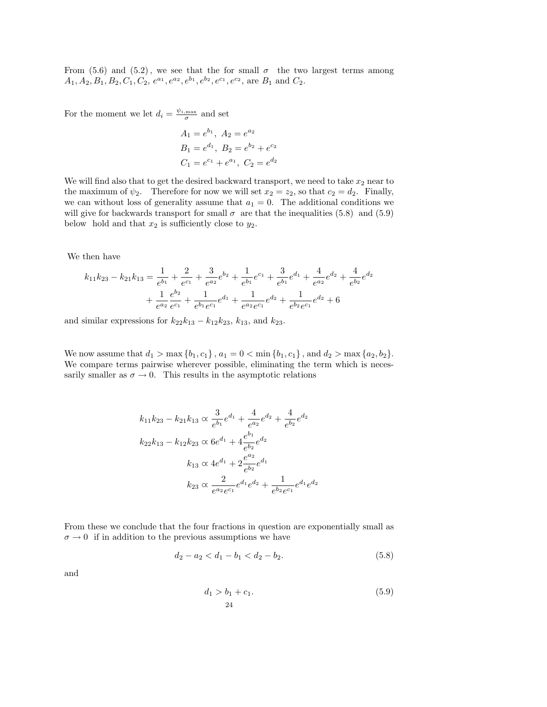From (5.6) and (5.2), we see that the for small  $\sigma$  the two largest terms among  $A_1, A_2, B_1, B_2, C_1, C_2, e^{a_1}, e^{a_2}, e^{b_1}, e^{b_2}, e^{c_1}, e^{c_2}, \text{ are } B_1 \text{ and } C_2.$ 

For the moment we let  $d_i = \frac{\psi_{i,\text{max}}}{\sigma}$  and set

$$
A_1 = e^{b_1}, A_2 = e^{a_2}
$$
  
\n
$$
B_1 = e^{d_1}, B_2 = e^{b_2} + e^{c_2}
$$
  
\n
$$
C_1 = e^{c_1} + e^{a_1}, C_2 = e^{d_2}
$$

We will find also that to get the desired backward transport, we need to take  $x_2$  near to the maximum of  $\psi_2$ . Therefore for now we will set  $x_2 = z_2$ , so that  $c_2 = d_2$ . Finally, we can without loss of generality assume that  $a_1 = 0$ . The additional conditions we will give for backwards transport for small  $\sigma$  are that the inequalities (5.8) and (5.9) below hold and that  $x_2$  is sufficiently close to  $y_2$ .

We then have

$$
k_{11}k_{23} - k_{21}k_{13} = \frac{1}{e^{b_1}} + \frac{2}{e^{c_1}} + \frac{3}{e^{a_2}}e^{b_2} + \frac{1}{e^{b_1}}e^{c_1} + \frac{3}{e^{b_1}}e^{d_1} + \frac{4}{e^{a_2}}e^{d_2} + \frac{4}{e^{b_2}}e^{d_2}
$$

$$
+ \frac{1}{e^{a_2}}\frac{e^{b_2}}{e^{c_1}} + \frac{1}{e^{b_1}e^{c_1}}e^{d_1} + \frac{1}{e^{a_2}e^{c_1}}e^{d_2} + \frac{1}{e^{b_2}e^{c_1}}e^{d_2} + 6
$$

and similar expressions for  $k_{22}k_{13} - k_{12}k_{23}$ ,  $k_{13}$ , and  $k_{23}$ .

We now assume that  $d_1 > \max\{b_1, c_1\}$ ,  $a_1 = 0 < \min\{b_1, c_1\}$ , and  $d_2 > \max\{a_2, b_2\}$ . We compare terms pairwise wherever possible, eliminating the term which is necessarily smaller as  $\sigma \to 0$ . This results in the asymptotic relations

$$
k_{11}k_{23} - k_{21}k_{13} \propto \frac{3}{e^{b_1}}e^{d_1} + \frac{4}{e^{a_2}}e^{d_2} + \frac{4}{e^{b_2}}e^{d_2}
$$
  
\n
$$
k_{22}k_{13} - k_{12}k_{23} \propto 6e^{d_1} + 4\frac{e^{b_1}}{e^{b_2}}e^{d_2}
$$
  
\n
$$
k_{13} \propto 4e^{d_1} + 2\frac{e^{a_2}}{e^{b_2}}e^{d_1}
$$
  
\n
$$
k_{23} \propto \frac{2}{e^{a_2}e^{c_1}}e^{d_1}e^{d_2} + \frac{1}{e^{b_2}e^{c_1}}e^{d_1}e^{d_2}
$$

From these we conclude that the four fractions in question are exponentially small as  $\sigma \to 0$  if in addition to the previous assumptions we have

$$
d_2 - a_2 < d_1 - b_1 < d_2 - b_2. \tag{5.8}
$$

and

$$
d_1 > b_1 + c_1.
$$
\n<sup>(5.9)</sup>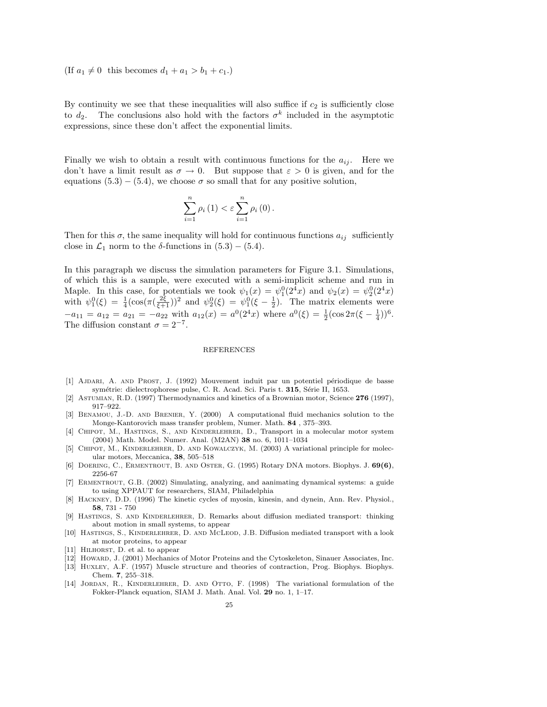(If  $a_1 \neq 0$  this becomes  $d_1 + a_1 > b_1 + c_1$ .)

By continuity we see that these inequalities will also suffice if  $c_2$  is sufficiently close to  $d_2$ . The conclusions also hold with the factors  $\sigma^k$  included in the asymptotic expressions, since these don't affect the exponential limits.

Finally we wish to obtain a result with continuous functions for the  $a_{ij}$ . Here we don't have a limit result as  $\sigma \to 0$ . But suppose that  $\varepsilon > 0$  is given, and for the equations (5.3) – (5.4), we choose  $\sigma$  so small that for any positive solution,

$$
\sum_{i=1}^{n} \rho_i (1) < \varepsilon \sum_{i=1}^{n} \rho_i (0) \, .
$$

Then for this  $\sigma$ , the same inequality will hold for continuous functions  $a_{ij}$  sufficiently close in  $\mathcal{L}_1$  norm to the  $\delta$ -functions in (5.3) – (5.4).

In this paragraph we discuss the simulation parameters for Figure 3.1. Simulations, of which this is a sample, were executed with a semi-implicit scheme and run in Maple. In this case, for potentials we took  $\psi_1(x) = \psi_1^0(2^4x)$  and  $\psi_2(x) = \psi_2^0(2^4x)$ with  $\psi_1^0(\xi) = \frac{1}{4}(\cos(\pi(\frac{2\xi}{\xi+1}))^2)$  and  $\psi_2^0(\xi) = \psi_1^0(\xi - \frac{1}{2})$ . The matrix elements were  $-a_{11} = a_{12} = a_{21} = -a_{22}$  with  $a_{12}(x) = a^0(2^4x)$  where  $a^0(\xi) = \frac{1}{2}(\cos 2\pi(\xi - \frac{1}{4}))^6$ . The diffusion constant  $\sigma = 2^{-7}$ .

## **REFERENCES**

- [1] AJDARI, A. AND PROST, J. (1992) Mouvement induit par un potentiel périodique de basse symétrie: dielectrophorese pulse, C. R. Acad. Sci. Paris t. 315, Série II, 1653.
- [2] Astumian, R.D. (1997) Thermodynamics and kinetics of a Brownian motor, Science 276 (1997), 917–922.
- [3] Benamou, J.-D. and Brenier, Y. (2000) A computational fluid mechanics solution to the Monge-Kantorovich mass transfer problem, Numer. Math. 84 , 375–393.
- [4] CHIPOT, M., HASTINGS, S., AND KINDERLEHRER, D., Transport in a molecular motor system (2004) Math. Model. Numer. Anal. (M2AN) 38 no. 6, 1011–1034
- [5] CHIPOT, M., KINDERLEHRER, D. AND KOWALCZYK, M. (2003) A variational principle for molecular motors, Meccanica, 38, 505–518
- [6] DOERING, C., ERMENTROUT, B. AND OSTER, G. (1995) Rotary DNA motors. Biophys. J.  $69(6)$ , 2256-67
- [7] Ermentrout, G.B. (2002) Simulating, analyzing, and aanimating dynamical systems: a guide to using XPPAUT for researchers, SIAM, Philadelphia
- [8] Hackney, D.D. (1996) The kinetic cycles of myosin, kinesin, and dynein, Ann. Rev. Physiol., 58, 731 - 750
- [9] Hastings, S. and Kinderlehrer, D. Remarks about diffusion mediated transport: thinking about motion in small systems, to appear
- [10] HASTINGS, S., KINDERLEHRER, D. AND MCLEOD, J.B. Diffusion mediated transport with a look at motor proteins, to appear
- [11] HILHORST, D. et al. to appear
- [12] Howard, J. (2001) Mechanics of Motor Proteins and the Cytoskeleton, Sinauer Associates, Inc.
- [13] Huxley, A.F. (1957) Muscle structure and theories of contraction, Prog. Biophys. Biophys. Chem. 7, 255–318.
- [14] JORDAN, R., KINDERLEHRER, D. AND OTTO, F. (1998) The variational formulation of the Fokker-Planck equation, SIAM J. Math. Anal. Vol. 29 no. 1, 1–17.